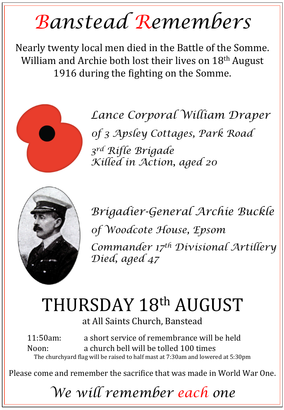## *Banstead Remembers*

Nearly twenty local men died in the Battle of the Somme. William and Archie both lost their lives on  $18<sup>th</sup>$  August 1916 during the fighting on the Somme.



*Lance Corporal William Draper 0f 3 Apsley Cottages, Park Road 3rd Rifle Brigade Killed in Action, aged 20* 



*Brigadier-General Archie Buckle 0f Woodcote House, Epsom Commander 17th Divisional Artillery Died, aged 47* 

## THURSDAY 18th AUGUST

at All Saints Church, Banstead

11:50am: a short service of remembrance will be held Noon: a church bell will be tolled 100 times The churchyard flag will be raised to half mast at 7:30am and lowered at 5:30pm

Please come and remember the sacrifice that was made in World War One.

*We will remember each one*